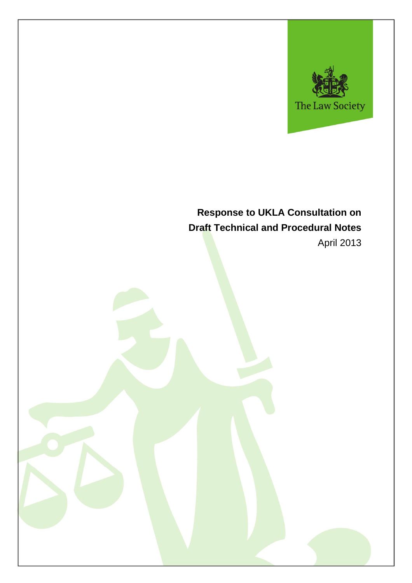

# **Response to UKLA Consultation on Draft Technical and Procedural Notes** April 2013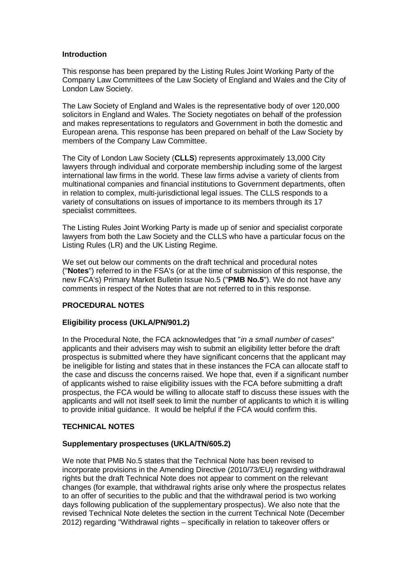### **Introduction**

This response has been prepared by the Listing Rules Joint Working Party of the Company Law Committees of the Law Society of England and Wales and the City of London Law Society.

The Law Society of England and Wales is the representative body of over 120,000 solicitors in England and Wales. The Society negotiates on behalf of the profession and makes representations to regulators and Government in both the domestic and European arena. This response has been prepared on behalf of the Law Society by members of the Company Law Committee.

The City of London Law Society (**CLLS**) represents approximately 13,000 City lawyers through individual and corporate membership including some of the largest international law firms in the world. These law firms advise a variety of clients from multinational companies and financial institutions to Government departments, often in relation to complex, multi-jurisdictional legal issues. The CLLS responds to a variety of consultations on issues of importance to its members through its 17 specialist committees.

The Listing Rules Joint Working Party is made up of senior and specialist corporate lawyers from both the Law Society and the CLLS who have a particular focus on the Listing Rules (LR) and the UK Listing Regime.

We set out below our comments on the draft technical and procedural notes ("**Notes**") referred to in the FSA's (or at the time of submission of this response, the new FCA's) Primary Market Bulletin Issue No.5 ("**PMB No.5**"). We do not have any comments in respect of the Notes that are not referred to in this response.

# **PROCEDURAL NOTES**

#### **Eligibility process (UKLA/PN/901.2)**

In the Procedural Note, the FCA acknowledges that "*in a small number of cases*" applicants and their advisers may wish to submit an eligibility letter before the draft prospectus is submitted where they have significant concerns that the applicant may be ineligible for listing and states that in these instances the FCA can allocate staff to the case and discuss the concerns raised. We hope that, even if a significant number of applicants wished to raise eligibility issues with the FCA before submitting a draft prospectus, the FCA would be willing to allocate staff to discuss these issues with the applicants and will not itself seek to limit the number of applicants to which it is willing to provide initial guidance. It would be helpful if the FCA would confirm this.

# **TECHNICAL NOTES**

### **Supplementary prospectuses (UKLA/TN/605.2)**

We note that PMB No.5 states that the Technical Note has been revised to incorporate provisions in the Amending Directive (2010/73/EU) regarding withdrawal rights but the draft Technical Note does not appear to comment on the relevant changes (for example, that withdrawal rights arise only where the prospectus relates to an offer of securities to the public and that the withdrawal period is two working days following publication of the supplementary prospectus). We also note that the revised Technical Note deletes the section in the current Technical Note (December 2012) regarding "Withdrawal rights – specifically in relation to takeover offers or